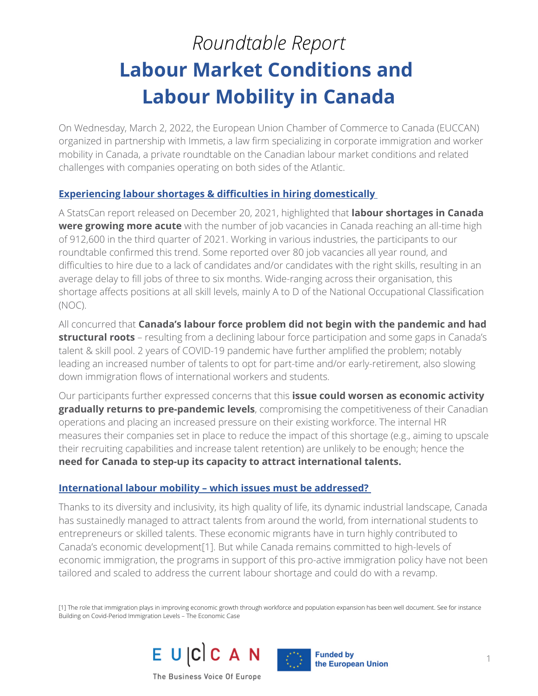# *Roundtable Report* **Labour Market Conditions and Labour Mobility in Canada**

On Wednesday, March 2, 2022, the European Union Chamber of Commerce to Canada ([EUCCAN\)](https://euccan.com/) organized in partnership with [Immetis](https://immetis.com/), a law firm specializing in corporate immigration and worker mobility in Canada, a private roundtable on the Canadian labour market conditions and related challenges with companies operating on both sides of the Atlantic.

### **Experiencing labour shortages & difficulties in hiring domestically**

A StatsCan report released on December 20, 2021, highlighted that **labour shortages in Canada were growing more acute** with the number of job vacancies in Canada reaching an all-time high of 912,600 in the third quarter of 2021. Working in various industries, the participants to our roundtable confirmed this trend. Some reported over 80 job vacancies all year round, and difficulties to hire due to a lack of candidates and/or candidates with the right skills, resulting in an average delay to fill jobs of three to six months. Wide-ranging across their organisation, this shortage affects positions at all skill levels, mainly A to D of the National Occupational Classification (NOC).

All concurred that **Canada's labour force problem did not begin with the pandemic and had structural roots** – resulting from a declining labour force participation and some gaps in Canada's talent & skill pool. 2 years of COVID-19 pandemic have further amplified the problem; notably leading an increased number of talents to opt for part-time and/or early-retirement, also slowing down immigration flows of international workers and students.

Our participants further expressed concerns that this **issue could worsen as economic activity gradually returns to pre-pandemic levels**, compromising the competitiveness of their Canadian operations and placing an increased pressure on their existing workforce. The internal HR measures their companies set in place to reduce the impact of this shortage (e.g., aiming to upscale their recruiting capabilities and increase talent retention) are unlikely to be enough; hence the **need for Canada to step-up its capacity to attract international talents.**

### **International labour mobility – which issues must be addressed?**

Thanks to its diversity and inclusivity, its high quality of life, its dynamic industrial landscape, Canada has sustainedly managed to attract talents from around the world, from international students to entrepreneurs or skilled talents. These economic migrants have in turn highly contributed to Canada's economic development[1]. But while Canada remains committed to high-levels of economic immigration, the programs in support of this pro-active immigration policy have not been tailored and scaled to address the current labour shortage and could do with a revamp.

[1] The role that immigration plays in improving economic growth through workforce and population expansion has been well document. See for instance Building on Covid-Period Immigration Levels – The Economic Case



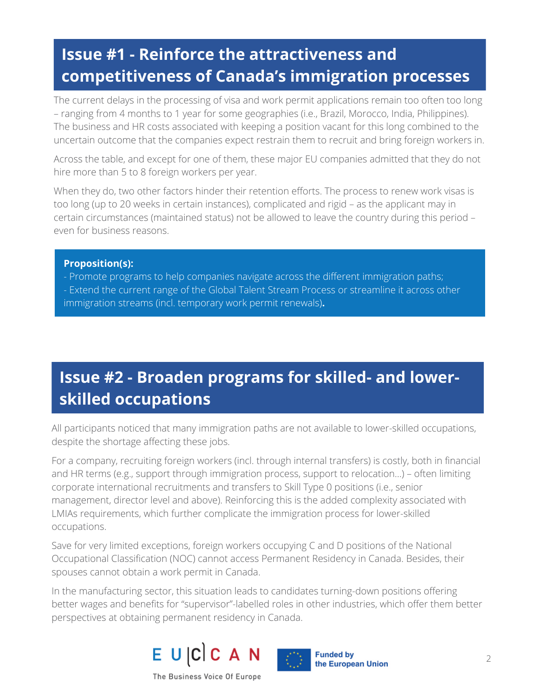## **Issue #1 - Reinforce the attractiveness and competitiveness of Canada's immigration processes**

The current delays in the processing of visa and work permit applications remain too often too long – ranging from 4 months to 1 year for some geographies (i.e., Brazil, Morocco, India, Philippines). The business and HR costs associated with keeping a position vacant for this long combined to the uncertain outcome that the companies expect restrain them to recruit and bring foreign workers in.

Across the table, and except for one of them, these major EU companies admitted that they do not hire more than 5 to 8 foreign workers per year.

When they do, two other factors hinder their retention efforts. The process to renew work visas is too long (up to 20 weeks in certain instances), complicated and rigid – as the applicant may in certain circumstances (maintained status) not be allowed to leave the country during this period – even for business reasons.

#### **Proposition(s):**

- Promote programs to help companies navigate across the different immigration paths; - Extend the current range of the Global Talent Stream Process or streamline it across other immigration streams (incl. temporary work permit renewals)**.**

### **Issue #2 - Broaden programs for skilled- and lowerskilled occupations**

All participants noticed that many immigration paths are not available to lower-skilled occupations, despite the shortage affecting these jobs.

For a company, recruiting foreign workers (incl. through internal transfers) is costly, both in financial and HR terms (e.g., support through immigration process, support to relocation…) – often limiting corporate international recruitments and transfers to Skill Type 0 positions (i.e., senior management, director level and above). Reinforcing this is the added complexity associated with LMIAs requirements, which further complicate the immigration process for lower-skilled occupations.

Save for very limited exceptions, foreign workers occupying C and D positions of the National Occupational Classification (NOC) cannot access Permanent Residency in Canada. Besides, their spouses cannot obtain a work permit in Canada.

In the manufacturing sector, this situation leads to candidates turning-down positions offering better wages and benefits for "supervisor"-labelled roles in other industries, which offer them better perspectives at obtaining permanent residency in Canada.





**Funded by** the European Union

The Business Voice Of Europe